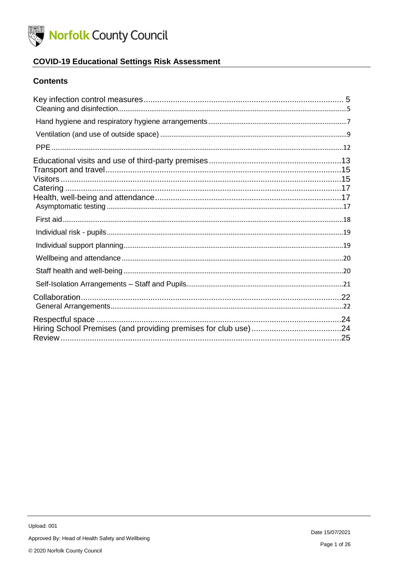

## **COVID-19 Educational Settings Risk Assessment**

#### **Contents**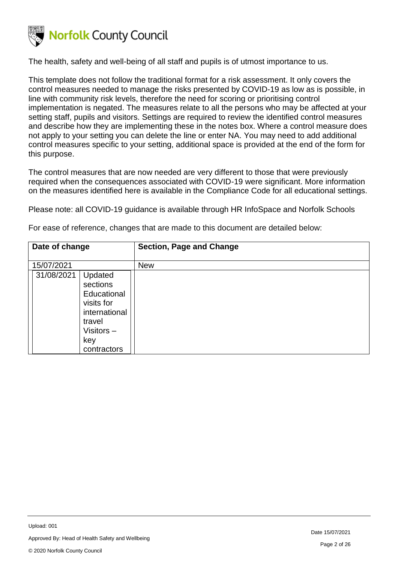

The health, safety and well-being of all staff and pupils is of utmost importance to us.

This template does not follow the traditional format for a risk assessment. It only covers the control measures needed to manage the risks presented by COVID-19 as low as is possible, in line with community risk levels, therefore the need for scoring or prioritising control implementation is negated. The measures relate to all the persons who may be affected at your setting staff, pupils and visitors. Settings are required to review the identified control measures and describe how they are implementing these in the notes box. Where a control measure does not apply to your setting you can delete the line or enter NA. You may need to add additional control measures specific to your setting, additional space is provided at the end of the form for this purpose.

The control measures that are now needed are very different to those that were previously required when the consequences associated with COVID-19 were significant. More information on the measures identified here is available in the Compliance Code for all educational settings.

Please note: all COVID-19 guidance is available through HR InfoSpace and Norfolk Schools

For ease of reference, changes that are made to this document are detailed below:

| Date of change                                                                                                               | <b>Section, Page and Change</b> |
|------------------------------------------------------------------------------------------------------------------------------|---------------------------------|
| 15/07/2021                                                                                                                   | <b>New</b>                      |
| 31/08/2021<br>Updated<br>sections<br>Educational<br>visits for<br>international<br>travel<br>Visitors-<br>key<br>contractors |                                 |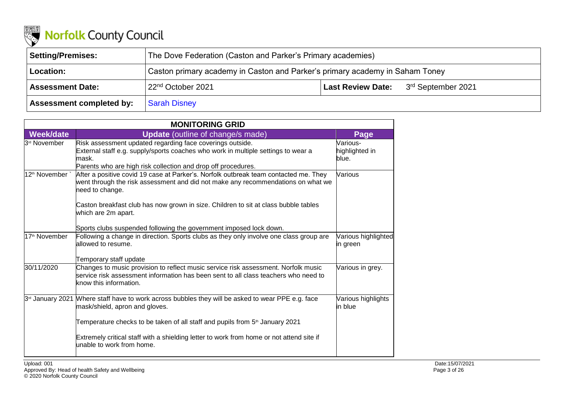

| <b>Setting/Premises:</b>        | The Dove Federation (Caston and Parker's Primary academies)                  |  |                                                  |  |
|---------------------------------|------------------------------------------------------------------------------|--|--------------------------------------------------|--|
| Location:                       | Caston primary academy in Caston and Parker's primary academy in Saham Toney |  |                                                  |  |
| <b>Assessment Date:</b>         | 22 <sup>nd</sup> October 2021                                                |  | <b>Last Review Date:</b> $3^{rd}$ September 2021 |  |
| <b>Assessment completed by:</b> | Sarah Disney                                                                 |  |                                                  |  |

| <b>MONITORING GRID</b>    |                                                                                                                                                                                                                                                                                                                                                                                 |                                     |  |
|---------------------------|---------------------------------------------------------------------------------------------------------------------------------------------------------------------------------------------------------------------------------------------------------------------------------------------------------------------------------------------------------------------------------|-------------------------------------|--|
| <b>Week/date</b>          | <b>Update</b> (outline of change/s made)                                                                                                                                                                                                                                                                                                                                        | Page                                |  |
| 3 <sup>rd</sup> November  | Risk assessment updated regarding face coverings outside.<br>External staff e.g. supply/sports coaches who work in multiple settings to wear a<br>mask.<br>Parents who are high risk collection and drop off procedures.                                                                                                                                                        | Various-<br>highlighted in<br>blue. |  |
| 12 <sup>th</sup> November | After a positive covid 19 case at Parker's. Norfolk outbreak team contacted me. They<br>went through the risk assessment and did not make any recommendations on what we<br>need to change.<br>Caston breakfast club has now grown in size. Children to sit at class bubble tables<br>which are 2m apart.<br>Sports clubs suspended following the government imposed lock down. | Various                             |  |
| 17 <sup>th</sup> November | Following a change in direction. Sports clubs as they only involve one class group are<br>allowed to resume.<br>Temporary staff update                                                                                                                                                                                                                                          | Various highlighted<br>in green     |  |
| 30/11/2020                | Changes to music provision to reflect music service risk assessment. Norfolk music<br>service risk assessment information has been sent to all class teachers who need to<br>know this information.                                                                                                                                                                             | Various in grey.                    |  |
| 3rd January 2021          | Where staff have to work across bubbles they will be asked to wear PPE e.g. face<br>mask/shield, apron and gloves.<br>Temperature checks to be taken of all staff and pupils from 5 <sup>th</sup> January 2021<br>Extremely critical staff with a shielding letter to work from home or not attend site if<br>unable to work from home.                                         | Various highlights<br>in blue       |  |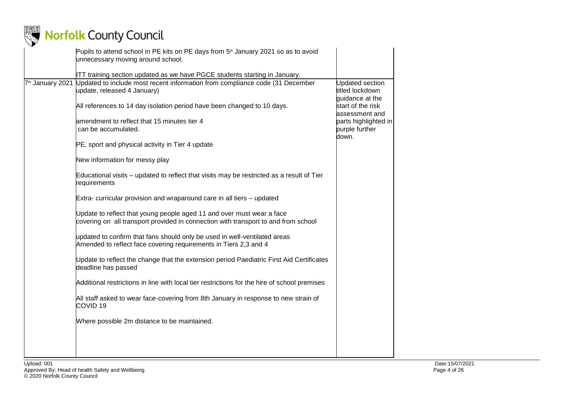

| ITT training section updated as we have PGCE students starting in January.<br>7 <sup>th</sup> January 2021 Updated to include most recent information from compliance code (31 December<br><b>Updated section</b><br>update, released 4 January)<br>titled lockdown<br>guidance at the<br>All references to 14 day isolation period have been changed to 10 days.<br>start of the risk<br>assessment and<br>amendment to reflect that 15 minutes tier 4<br>parts highlighted in<br>can be accumulated.<br>purple further<br>down.<br>PE, sport and physical activity in Tier 4 update<br>New information for messy play<br>Educational visits – updated to reflect that visits may be restricted as a result of Tier<br>requirements<br>Extra- curricular provision and wraparound care in all tiers – updated<br>Update to reflect that young people aged 11 and over must wear a face<br>covering on all transport provided in connection with transport to and from school<br>updated to confirm that fans should only be used in well-ventilated areas<br>Amended to reflect face covering requirements in Tiers 2,3 and 4<br>Update to reflect the change that the extension period Paediatric First Aid Certificates<br>deadline has passed<br>Additional restrictions in line with local tier restrictions for the hire of school premises<br>All staff asked to wear face-covering from 8th January in response to new strain of<br>COVID <sub>19</sub> | Pupils to attend school in PE kits on PE days from 5 <sup>th</sup> January 2021 so as to avoid<br>unnecessary moving around school. |  |
|-----------------------------------------------------------------------------------------------------------------------------------------------------------------------------------------------------------------------------------------------------------------------------------------------------------------------------------------------------------------------------------------------------------------------------------------------------------------------------------------------------------------------------------------------------------------------------------------------------------------------------------------------------------------------------------------------------------------------------------------------------------------------------------------------------------------------------------------------------------------------------------------------------------------------------------------------------------------------------------------------------------------------------------------------------------------------------------------------------------------------------------------------------------------------------------------------------------------------------------------------------------------------------------------------------------------------------------------------------------------------------------------------------------------------------------------------------------------|-------------------------------------------------------------------------------------------------------------------------------------|--|
|                                                                                                                                                                                                                                                                                                                                                                                                                                                                                                                                                                                                                                                                                                                                                                                                                                                                                                                                                                                                                                                                                                                                                                                                                                                                                                                                                                                                                                                                 |                                                                                                                                     |  |
|                                                                                                                                                                                                                                                                                                                                                                                                                                                                                                                                                                                                                                                                                                                                                                                                                                                                                                                                                                                                                                                                                                                                                                                                                                                                                                                                                                                                                                                                 |                                                                                                                                     |  |
|                                                                                                                                                                                                                                                                                                                                                                                                                                                                                                                                                                                                                                                                                                                                                                                                                                                                                                                                                                                                                                                                                                                                                                                                                                                                                                                                                                                                                                                                 |                                                                                                                                     |  |
|                                                                                                                                                                                                                                                                                                                                                                                                                                                                                                                                                                                                                                                                                                                                                                                                                                                                                                                                                                                                                                                                                                                                                                                                                                                                                                                                                                                                                                                                 |                                                                                                                                     |  |
|                                                                                                                                                                                                                                                                                                                                                                                                                                                                                                                                                                                                                                                                                                                                                                                                                                                                                                                                                                                                                                                                                                                                                                                                                                                                                                                                                                                                                                                                 |                                                                                                                                     |  |
|                                                                                                                                                                                                                                                                                                                                                                                                                                                                                                                                                                                                                                                                                                                                                                                                                                                                                                                                                                                                                                                                                                                                                                                                                                                                                                                                                                                                                                                                 |                                                                                                                                     |  |
|                                                                                                                                                                                                                                                                                                                                                                                                                                                                                                                                                                                                                                                                                                                                                                                                                                                                                                                                                                                                                                                                                                                                                                                                                                                                                                                                                                                                                                                                 |                                                                                                                                     |  |
|                                                                                                                                                                                                                                                                                                                                                                                                                                                                                                                                                                                                                                                                                                                                                                                                                                                                                                                                                                                                                                                                                                                                                                                                                                                                                                                                                                                                                                                                 |                                                                                                                                     |  |
|                                                                                                                                                                                                                                                                                                                                                                                                                                                                                                                                                                                                                                                                                                                                                                                                                                                                                                                                                                                                                                                                                                                                                                                                                                                                                                                                                                                                                                                                 |                                                                                                                                     |  |
|                                                                                                                                                                                                                                                                                                                                                                                                                                                                                                                                                                                                                                                                                                                                                                                                                                                                                                                                                                                                                                                                                                                                                                                                                                                                                                                                                                                                                                                                 |                                                                                                                                     |  |
|                                                                                                                                                                                                                                                                                                                                                                                                                                                                                                                                                                                                                                                                                                                                                                                                                                                                                                                                                                                                                                                                                                                                                                                                                                                                                                                                                                                                                                                                 |                                                                                                                                     |  |
|                                                                                                                                                                                                                                                                                                                                                                                                                                                                                                                                                                                                                                                                                                                                                                                                                                                                                                                                                                                                                                                                                                                                                                                                                                                                                                                                                                                                                                                                 |                                                                                                                                     |  |
|                                                                                                                                                                                                                                                                                                                                                                                                                                                                                                                                                                                                                                                                                                                                                                                                                                                                                                                                                                                                                                                                                                                                                                                                                                                                                                                                                                                                                                                                 |                                                                                                                                     |  |
| Where possible 2m distance to be maintained.                                                                                                                                                                                                                                                                                                                                                                                                                                                                                                                                                                                                                                                                                                                                                                                                                                                                                                                                                                                                                                                                                                                                                                                                                                                                                                                                                                                                                    |                                                                                                                                     |  |
|                                                                                                                                                                                                                                                                                                                                                                                                                                                                                                                                                                                                                                                                                                                                                                                                                                                                                                                                                                                                                                                                                                                                                                                                                                                                                                                                                                                                                                                                 |                                                                                                                                     |  |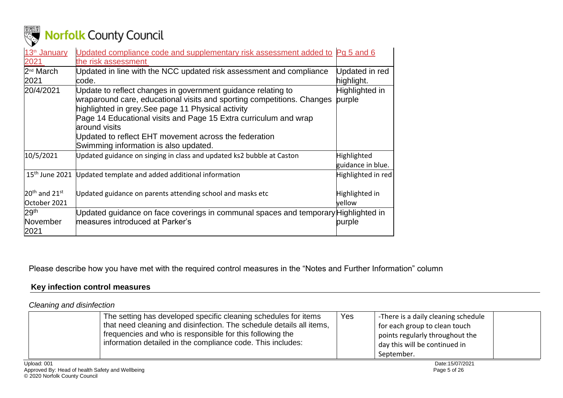

| 13 <sup>th</sup> January | Updated compliance code and supplementary risk assessment added to Pg 5 and 6                                                                                                                |                                  |
|--------------------------|----------------------------------------------------------------------------------------------------------------------------------------------------------------------------------------------|----------------------------------|
| 2021                     | the risk assessment                                                                                                                                                                          |                                  |
| 2 <sup>nd</sup> March    | Updated in line with the NCC updated risk assessment and compliance                                                                                                                          | Updated in red                   |
| 2021                     | code.                                                                                                                                                                                        | highlight.                       |
| 20/4/2021                | Update to reflect changes in government guidance relating to<br>wraparound care, educational visits and sporting competitions. Changes<br>highlighted in grey. See page 11 Physical activity | Highlighted in<br>purple         |
|                          | Page 14 Educational visits and Page 15 Extra curriculum and wrap<br>around visits                                                                                                            |                                  |
|                          | Updated to reflect EHT movement across the federation                                                                                                                                        |                                  |
|                          | Swimming information is also updated.                                                                                                                                                        |                                  |
| 10/5/2021                | Updated guidance on singing in class and updated ks2 bubble at Caston                                                                                                                        | Highlighted<br>guidance in blue. |
| $15th$ June 2021         | Updated template and added additional information                                                                                                                                            | Highlighted in red               |
| $20th$ and $21st$        | Updated guidance on parents attending school and masks etc                                                                                                                                   | Highlighted in                   |
| October 2021             |                                                                                                                                                                                              | yellow                           |
| 29 <sup>th</sup>         | Updated guidance on face coverings in communal spaces and temporary Highlighted in                                                                                                           |                                  |
| November                 | measures introduced at Parker's                                                                                                                                                              | purple                           |
| 2021                     |                                                                                                                                                                                              |                                  |
|                          |                                                                                                                                                                                              |                                  |

Please describe how you have met with the required control measures in the "Notes and Further Information" column

### **Key infection control measures**

*Cleaning and disinfection*

<span id="page-4-1"></span><span id="page-4-0"></span>

| The setting has developed specific cleaning schedules for items<br>that need cleaning and disinfection. The schedule details all items,<br>frequencies and who is responsible for this following the<br>information detailed in the compliance code. This includes: | Yes | -There is a daily cleaning schedule<br>for each group to clean touch<br>points regularly throughout the<br>day this will be continued in<br>September. |  |
|---------------------------------------------------------------------------------------------------------------------------------------------------------------------------------------------------------------------------------------------------------------------|-----|--------------------------------------------------------------------------------------------------------------------------------------------------------|--|
|---------------------------------------------------------------------------------------------------------------------------------------------------------------------------------------------------------------------------------------------------------------------|-----|--------------------------------------------------------------------------------------------------------------------------------------------------------|--|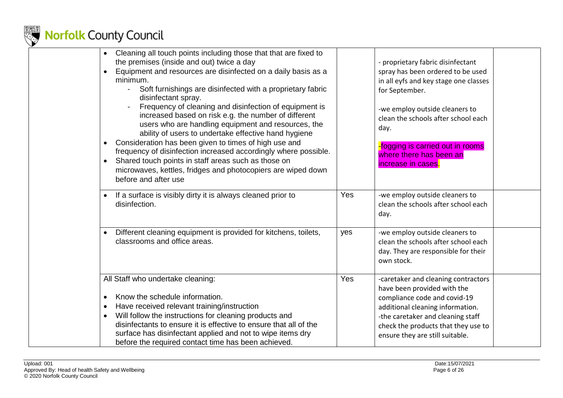

| Cleaning all touch points including those that that are fixed to<br>the premises (inside and out) twice a day<br>Equipment and resources are disinfected on a daily basis as a<br>minimum.<br>Soft furnishings are disinfected with a proprietary fabric<br>$\blacksquare$<br>disinfectant spray.<br>Frequency of cleaning and disinfection of equipment is<br>increased based on risk e.g. the number of different<br>users who are handling equipment and resources, the<br>ability of users to undertake effective hand hygiene<br>Consideration has been given to times of high use and<br>$\bullet$<br>frequency of disinfection increased accordingly where possible.<br>Shared touch points in staff areas such as those on<br>$\bullet$<br>microwaves, kettles, fridges and photocopiers are wiped down<br>before and after use |     | - proprietary fabric disinfectant<br>spray has been ordered to be used<br>in all eyfs and key stage one classes<br>for September.<br>-we employ outside cleaners to<br>clean the schools after school each<br>day.<br>fogging is carried out in rooms<br>where there has been an<br>increase in cases. |  |
|-----------------------------------------------------------------------------------------------------------------------------------------------------------------------------------------------------------------------------------------------------------------------------------------------------------------------------------------------------------------------------------------------------------------------------------------------------------------------------------------------------------------------------------------------------------------------------------------------------------------------------------------------------------------------------------------------------------------------------------------------------------------------------------------------------------------------------------------|-----|--------------------------------------------------------------------------------------------------------------------------------------------------------------------------------------------------------------------------------------------------------------------------------------------------------|--|
| If a surface is visibly dirty it is always cleaned prior to<br>$\bullet$<br>disinfection.                                                                                                                                                                                                                                                                                                                                                                                                                                                                                                                                                                                                                                                                                                                                               | Yes | -we employ outside cleaners to<br>clean the schools after school each<br>day.                                                                                                                                                                                                                          |  |
| Different cleaning equipment is provided for kitchens, toilets,<br>$\bullet$<br>classrooms and office areas.                                                                                                                                                                                                                                                                                                                                                                                                                                                                                                                                                                                                                                                                                                                            | yes | -we employ outside cleaners to<br>clean the schools after school each<br>day. They are responsible for their<br>own stock.                                                                                                                                                                             |  |
| All Staff who undertake cleaning:<br>Know the schedule information.<br>$\bullet$<br>Have received relevant training/instruction<br>$\bullet$<br>Will follow the instructions for cleaning products and<br>$\bullet$<br>disinfectants to ensure it is effective to ensure that all of the<br>surface has disinfectant applied and not to wipe items dry<br>before the required contact time has been achieved.                                                                                                                                                                                                                                                                                                                                                                                                                           | Yes | -caretaker and cleaning contractors<br>have been provided with the<br>compliance code and covid-19<br>additional cleaning information.<br>-the caretaker and cleaning staff<br>check the products that they use to<br>ensure they are still suitable.                                                  |  |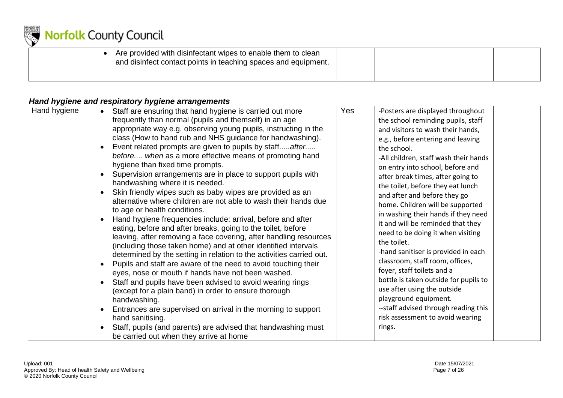

|  | Are provided with disinfectant wipes to enable them to clean<br>and disinfect contact points in teaching spaces and equipment. |  |  |
|--|--------------------------------------------------------------------------------------------------------------------------------|--|--|
|  |                                                                                                                                |  |  |

### *Hand hygiene and respiratory hygiene arrangements*

<span id="page-6-0"></span>

| Hand hygiene<br>Yes<br>Staff are ensuring that hand hygiene is carried out more<br>-Posters are displayed throughout<br>frequently than normal (pupils and themself) in an age<br>the school reminding pupils, staff<br>appropriate way e.g. observing young pupils, instructing in the<br>and visitors to wash their hands,<br>class (How to hand rub and NHS guidance for handwashing).<br>e.g., before entering and leaving<br>Event related prompts are given to pupils by staffafter<br>the school.<br>before when as a more effective means of promoting hand<br>-All children, staff wash their hands<br>hygiene than fixed time prompts.<br>on entry into school, before and<br>Supervision arrangements are in place to support pupils with<br>after break times, after going to<br>handwashing where it is needed.<br>the toilet, before they eat lunch<br>Skin friendly wipes such as baby wipes are provided as an<br>and after and before they go<br>alternative where children are not able to wash their hands due<br>home. Children will be supported<br>to age or health conditions.<br>in washing their hands if they need<br>Hand hygiene frequencies include: arrival, before and after<br>it and will be reminded that they<br>eating, before and after breaks, going to the toilet, before<br>need to be doing it when visiting<br>leaving, after removing a face covering, after handling resources<br>the toilet.<br>(including those taken home) and at other identified intervals<br>-hand sanitiser is provided in each<br>determined by the setting in relation to the activities carried out.<br>classroom, staff room, offices,<br>Pupils and staff are aware of the need to avoid touching their<br>foyer, staff toilets and a<br>eyes, nose or mouth if hands have not been washed.<br>bottle is taken outside for pupils to<br>Staff and pupils have been advised to avoid wearing rings<br>use after using the outside<br>(except for a plain band) in order to ensure thorough<br>playground equipment.<br>handwashing.<br>--staff advised through reading this<br>Entrances are supervised on arrival in the morning to support |  |
|---------------------------------------------------------------------------------------------------------------------------------------------------------------------------------------------------------------------------------------------------------------------------------------------------------------------------------------------------------------------------------------------------------------------------------------------------------------------------------------------------------------------------------------------------------------------------------------------------------------------------------------------------------------------------------------------------------------------------------------------------------------------------------------------------------------------------------------------------------------------------------------------------------------------------------------------------------------------------------------------------------------------------------------------------------------------------------------------------------------------------------------------------------------------------------------------------------------------------------------------------------------------------------------------------------------------------------------------------------------------------------------------------------------------------------------------------------------------------------------------------------------------------------------------------------------------------------------------------------------------------------------------------------------------------------------------------------------------------------------------------------------------------------------------------------------------------------------------------------------------------------------------------------------------------------------------------------------------------------------------------------------------------------------------------------------------------------------------------------------------------------------------------------------------|--|
|---------------------------------------------------------------------------------------------------------------------------------------------------------------------------------------------------------------------------------------------------------------------------------------------------------------------------------------------------------------------------------------------------------------------------------------------------------------------------------------------------------------------------------------------------------------------------------------------------------------------------------------------------------------------------------------------------------------------------------------------------------------------------------------------------------------------------------------------------------------------------------------------------------------------------------------------------------------------------------------------------------------------------------------------------------------------------------------------------------------------------------------------------------------------------------------------------------------------------------------------------------------------------------------------------------------------------------------------------------------------------------------------------------------------------------------------------------------------------------------------------------------------------------------------------------------------------------------------------------------------------------------------------------------------------------------------------------------------------------------------------------------------------------------------------------------------------------------------------------------------------------------------------------------------------------------------------------------------------------------------------------------------------------------------------------------------------------------------------------------------------------------------------------------------|--|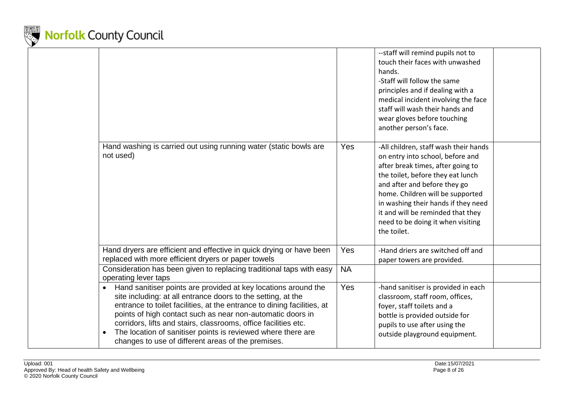

|                                                                                                                                                                                                                                                                                                                                                                                                                                                                                            |           | --staff will remind pupils not to<br>touch their faces with unwashed<br>hands.<br>-Staff will follow the same<br>principles and if dealing with a<br>medical incident involving the face<br>staff will wash their hands and<br>wear gloves before touching<br>another person's face.                                                                    |  |
|--------------------------------------------------------------------------------------------------------------------------------------------------------------------------------------------------------------------------------------------------------------------------------------------------------------------------------------------------------------------------------------------------------------------------------------------------------------------------------------------|-----------|---------------------------------------------------------------------------------------------------------------------------------------------------------------------------------------------------------------------------------------------------------------------------------------------------------------------------------------------------------|--|
| Hand washing is carried out using running water (static bowls are<br>not used)                                                                                                                                                                                                                                                                                                                                                                                                             | Yes       | -All children, staff wash their hands<br>on entry into school, before and<br>after break times, after going to<br>the toilet, before they eat lunch<br>and after and before they go<br>home. Children will be supported<br>in washing their hands if they need<br>it and will be reminded that they<br>need to be doing it when visiting<br>the toilet. |  |
| Hand dryers are efficient and effective in quick drying or have been<br>replaced with more efficient dryers or paper towels                                                                                                                                                                                                                                                                                                                                                                | Yes       | -Hand driers are switched off and<br>paper towers are provided.                                                                                                                                                                                                                                                                                         |  |
| Consideration has been given to replacing traditional taps with easy<br>operating lever taps                                                                                                                                                                                                                                                                                                                                                                                               | <b>NA</b> |                                                                                                                                                                                                                                                                                                                                                         |  |
| Hand sanitiser points are provided at key locations around the<br>$\bullet$<br>site including: at all entrance doors to the setting, at the<br>entrance to toilet facilities, at the entrance to dining facilities, at<br>points of high contact such as near non-automatic doors in<br>corridors, lifts and stairs, classrooms, office facilities etc.<br>The location of sanitiser points is reviewed where there are<br>$\bullet$<br>changes to use of different areas of the premises. | Yes       | -hand sanitiser is provided in each<br>classroom, staff room, offices,<br>foyer, staff toilets and a<br>bottle is provided outside for<br>pupils to use after using the<br>outside playground equipment.                                                                                                                                                |  |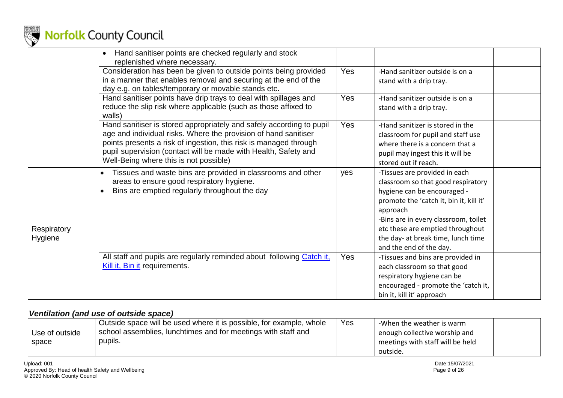

|                        | Hand sanitiser points are checked regularly and stock<br>$\bullet$<br>replenished where necessary.                                                                                                                                                                                                                        |            |                                                                                                                                                                                                                                                                                                        |  |
|------------------------|---------------------------------------------------------------------------------------------------------------------------------------------------------------------------------------------------------------------------------------------------------------------------------------------------------------------------|------------|--------------------------------------------------------------------------------------------------------------------------------------------------------------------------------------------------------------------------------------------------------------------------------------------------------|--|
|                        | Consideration has been be given to outside points being provided<br>in a manner that enables removal and securing at the end of the<br>day e.g. on tables/temporary or movable stands etc.                                                                                                                                | Yes        | -Hand sanitizer outside is on a<br>stand with a drip tray.                                                                                                                                                                                                                                             |  |
|                        | Hand sanitiser points have drip trays to deal with spillages and<br>reduce the slip risk where applicable (such as those affixed to<br>walls)                                                                                                                                                                             | <b>Yes</b> | -Hand sanitizer outside is on a<br>stand with a drip tray.                                                                                                                                                                                                                                             |  |
|                        | Hand sanitiser is stored appropriately and safely according to pupil<br>age and individual risks. Where the provision of hand sanitiser<br>points presents a risk of ingestion, this risk is managed through<br>pupil supervision (contact will be made with Health, Safety and<br>Well-Being where this is not possible) | Yes        | -Hand sanitizer is stored in the<br>classroom for pupil and staff use<br>where there is a concern that a<br>pupil may ingest this it will be<br>stored out if reach.                                                                                                                                   |  |
| Respiratory<br>Hygiene | Tissues and waste bins are provided in classrooms and other<br>areas to ensure good respiratory hygiene.<br>Bins are emptied regularly throughout the day                                                                                                                                                                 | yes        | -Tissues are provided in each<br>classroom so that good respiratory<br>hygiene can be encouraged -<br>promote the 'catch it, bin it, kill it'<br>approach<br>-Bins are in every classroom, toilet<br>etc these are emptied throughout<br>the day- at break time, lunch time<br>and the end of the day. |  |
|                        | All staff and pupils are regularly reminded about following Catch it,<br>Kill it, Bin it requirements.                                                                                                                                                                                                                    | <b>Yes</b> | -Tissues and bins are provided in<br>each classroom so that good<br>respiratory hygiene can be<br>encouraged - promote the 'catch it,<br>bin it, kill it' approach                                                                                                                                     |  |

#### *Ventilation (and use of outside space)*

<span id="page-8-0"></span>

|                | Outside space will be used where it is possible, for example, whole | Yes | -When the weather is warm        |  |
|----------------|---------------------------------------------------------------------|-----|----------------------------------|--|
| Use of outside | school assemblies, lunchtimes and for meetings with staff and       |     | enough collective worship and    |  |
| space          | pupils.                                                             |     | meetings with staff will be held |  |
|                |                                                                     |     | outside.                         |  |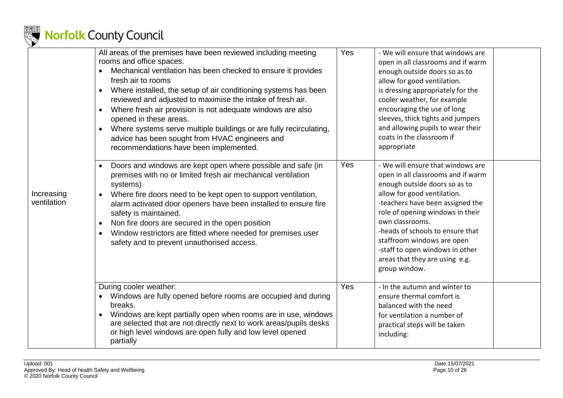

|                           | All areas of the premises have been reviewed including meeting<br>rooms and office spaces.<br>Mechanical ventilation has been checked to ensure it provides<br>fresh air to rooms<br>Where installed, the setup of air conditioning systems has been<br>reviewed and adjusted to maximise the intake of fresh air.<br>Where fresh air provision is not adequate windows are also<br>$\bullet$<br>opened in these areas.<br>Where systems serve multiple buildings or are fully recirculating,<br>$\bullet$<br>advice has been sought from HVAC engineers and<br>recommendations have been implemented. | Yes | - We will ensure that windows are<br>open in all classrooms and if warm<br>enough outside doors so as to<br>allow for good ventilation.<br>is dressing appropriately for the<br>cooler weather, for example<br>encouraging the use of long<br>sleeves, thick tights and jumpers<br>and allowing pupils to wear their<br>coats in the classroom if<br>appropriate                           |  |
|---------------------------|--------------------------------------------------------------------------------------------------------------------------------------------------------------------------------------------------------------------------------------------------------------------------------------------------------------------------------------------------------------------------------------------------------------------------------------------------------------------------------------------------------------------------------------------------------------------------------------------------------|-----|--------------------------------------------------------------------------------------------------------------------------------------------------------------------------------------------------------------------------------------------------------------------------------------------------------------------------------------------------------------------------------------------|--|
| Increasing<br>ventilation | Doors and windows are kept open where possible and safe (in<br>$\bullet$<br>premises with no or limited fresh air mechanical ventilation<br>systems)<br>Where fire doors need to be kept open to support ventilation,<br>$\bullet$<br>alarm activated door openers have been installed to ensure fire<br>safety is maintained.<br>Non fire doors are secured in the open position<br>$\bullet$<br>Window restrictors are fitted where needed for premises user<br>$\bullet$<br>safety and to prevent unauthorised access.                                                                              | Yes | - We will ensure that windows are<br>open in all classrooms and if warm<br>enough outside doors so as to<br>allow for good ventilation.<br>-teachers have been assigned the<br>role of opening windows in their<br>own classrooms.<br>-heads of schools to ensure that<br>staffroom windows are open<br>-staff to open windows in other<br>areas that they are using e.g.<br>group window. |  |
|                           | During cooler weather:<br>Windows are fully opened before rooms are occupied and during<br>breaks.<br>Windows are kept partially open when rooms are in use, windows<br>$\bullet$<br>are selected that are not directly next to work areas/pupils desks<br>or high level windows are open fully and low level opened<br>partially                                                                                                                                                                                                                                                                      | Yes | - In the autumn and winter to<br>ensure thermal comfort is<br>balanced with the need<br>for ventilation a number of<br>practical steps will be taken<br>including:                                                                                                                                                                                                                         |  |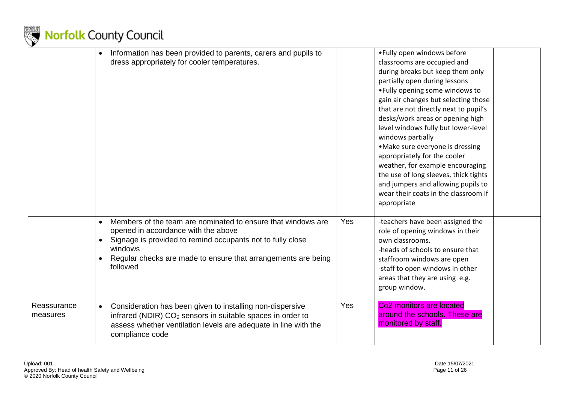

|                         | $\bullet$ | Information has been provided to parents, carers and pupils to<br>dress appropriately for cooler temperatures.                                                                                                                                            |            | • Fully open windows before<br>classrooms are occupied and<br>during breaks but keep them only<br>partially open during lessons<br>. Fully opening some windows to<br>gain air changes but selecting those<br>that are not directly next to pupil's<br>desks/work areas or opening high<br>level windows fully but lower-level<br>windows partially<br>• Make sure everyone is dressing<br>appropriately for the cooler<br>weather, for example encouraging<br>the use of long sleeves, thick tights<br>and jumpers and allowing pupils to<br>wear their coats in the classroom if<br>appropriate |
|-------------------------|-----------|-----------------------------------------------------------------------------------------------------------------------------------------------------------------------------------------------------------------------------------------------------------|------------|---------------------------------------------------------------------------------------------------------------------------------------------------------------------------------------------------------------------------------------------------------------------------------------------------------------------------------------------------------------------------------------------------------------------------------------------------------------------------------------------------------------------------------------------------------------------------------------------------|
|                         | $\bullet$ | Members of the team are nominated to ensure that windows are<br>opened in accordance with the above<br>Signage is provided to remind occupants not to fully close<br>windows<br>Regular checks are made to ensure that arrangements are being<br>followed | <b>Yes</b> | -teachers have been assigned the<br>role of opening windows in their<br>own classrooms.<br>-heads of schools to ensure that<br>staffroom windows are open<br>-staff to open windows in other<br>areas that they are using e.g.<br>group window.                                                                                                                                                                                                                                                                                                                                                   |
| Reassurance<br>measures | $\bullet$ | Consideration has been given to installing non-dispersive<br>infrared (NDIR) CO <sub>2</sub> sensors in suitable spaces in order to<br>assess whether ventilation levels are adequate in line with the<br>compliance code                                 | Yes        | Co <sub>2</sub> monitors are located<br>around the schools. These are<br>monitored by staff.                                                                                                                                                                                                                                                                                                                                                                                                                                                                                                      |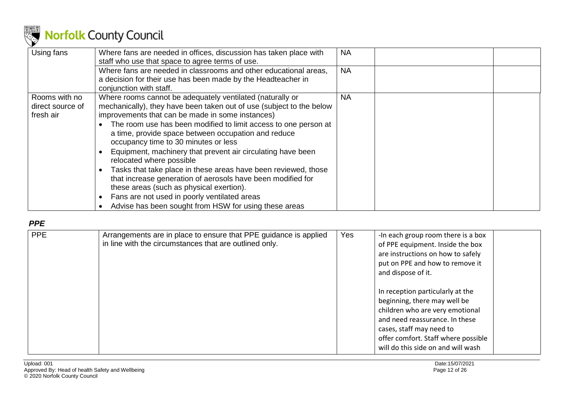

| Using fans       | Where fans are needed in offices, discussion has taken place with<br>staff who use that space to agree terms of use. | <b>NA</b> |  |
|------------------|----------------------------------------------------------------------------------------------------------------------|-----------|--|
|                  | Where fans are needed in classrooms and other educational areas,                                                     | <b>NA</b> |  |
|                  | a decision for their use has been made by the Headteacher in                                                         |           |  |
|                  | conjunction with staff.                                                                                              |           |  |
| Rooms with no    | Where rooms cannot be adequately ventilated (naturally or                                                            | NA        |  |
| direct source of | mechanically), they have been taken out of use (subject to the below                                                 |           |  |
| fresh air        | improvements that can be made in some instances)                                                                     |           |  |
|                  | The room use has been modified to limit access to one person at                                                      |           |  |
|                  | a time, provide space between occupation and reduce                                                                  |           |  |
|                  | occupancy time to 30 minutes or less                                                                                 |           |  |
|                  | Equipment, machinery that prevent air circulating have been                                                          |           |  |
|                  | relocated where possible                                                                                             |           |  |
|                  | Tasks that take place in these areas have been reviewed, those                                                       |           |  |
|                  | that increase generation of aerosols have been modified for                                                          |           |  |
|                  | these areas (such as physical exertion).                                                                             |           |  |
|                  | Fans are not used in poorly ventilated areas                                                                         |           |  |
|                  | Advise has been sought from HSW for using these areas                                                                |           |  |

#### *PPE*

<span id="page-11-0"></span>

| <b>PPE</b> | Arrangements are in place to ensure that PPE guidance is applied<br>in line with the circumstances that are outlined only. | Yes | -In each group room there is a box<br>of PPE equipment. Inside the box<br>are instructions on how to safely<br>put on PPE and how to remove it<br>and dispose of it.                                                                           |
|------------|----------------------------------------------------------------------------------------------------------------------------|-----|------------------------------------------------------------------------------------------------------------------------------------------------------------------------------------------------------------------------------------------------|
|            |                                                                                                                            |     | In reception particularly at the<br>beginning, there may well be<br>children who are very emotional<br>and need reassurance. In these<br>cases, staff may need to<br>offer comfort. Staff where possible<br>will do this side on and will wash |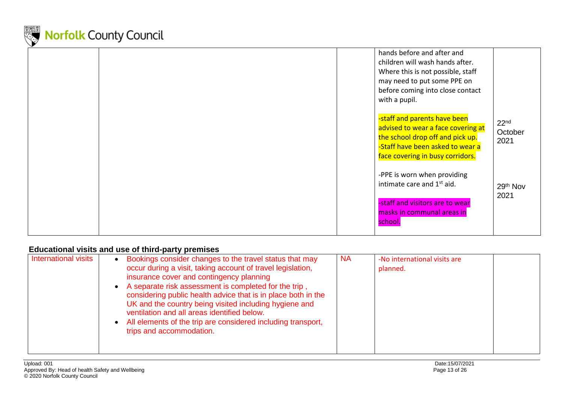

|  |  | hands before and after and<br>children will wash hands after.<br>Where this is not possible, staff<br>may need to put some PPE on<br>before coming into close contact<br>with a pupil. |                                     |
|--|--|----------------------------------------------------------------------------------------------------------------------------------------------------------------------------------------|-------------------------------------|
|  |  | -staff and parents have been<br>advised to wear a face covering at<br>the school drop off and pick up.<br>-Staff have been asked to wear a<br>face covering in busy corridors.         | 22 <sup>nd</sup><br>October<br>2021 |
|  |  | -PPE is worn when providing<br>intimate care and 1 <sup>st</sup> aid.<br>-staff and visitors are to wear<br>masks in communal areas in<br>school.                                      | 29th Nov<br>2021                    |
|  |  |                                                                                                                                                                                        |                                     |

### **Educational visits and use of third-party premises**

<span id="page-12-0"></span>

| International visits | Bookings consider changes to the travel status that may<br>occur during a visit, taking account of travel legislation,<br>insurance cover and contingency planning<br>A separate risk assessment is completed for the trip,<br>considering public health advice that is in place both in the<br>UK and the country being visited including hygiene and<br>ventilation and all areas identified below.<br>All elements of the trip are considered including transport,<br>trips and accommodation. | <b>NA</b> | -No international visits are<br>planned. |  |
|----------------------|---------------------------------------------------------------------------------------------------------------------------------------------------------------------------------------------------------------------------------------------------------------------------------------------------------------------------------------------------------------------------------------------------------------------------------------------------------------------------------------------------|-----------|------------------------------------------|--|
|----------------------|---------------------------------------------------------------------------------------------------------------------------------------------------------------------------------------------------------------------------------------------------------------------------------------------------------------------------------------------------------------------------------------------------------------------------------------------------------------------------------------------------|-----------|------------------------------------------|--|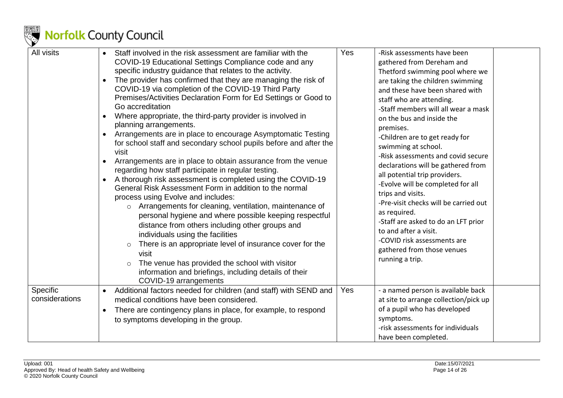

| All visits                 | Staff involved in the risk assessment are familiar with the<br>COVID-19 Educational Settings Compliance code and any<br>specific industry guidance that relates to the activity.<br>The provider has confirmed that they are managing the risk of<br>$\bullet$<br>COVID-19 via completion of the COVID-19 Third Party<br>Premises/Activities Declaration Form for Ed Settings or Good to<br>Go accreditation<br>Where appropriate, the third-party provider is involved in<br>$\bullet$<br>planning arrangements.<br>Arrangements are in place to encourage Asymptomatic Testing<br>$\bullet$<br>for school staff and secondary school pupils before and after the<br>visit<br>Arrangements are in place to obtain assurance from the venue<br>regarding how staff participate in regular testing.<br>A thorough risk assessment is completed using the COVID-19<br>$\bullet$<br>General Risk Assessment Form in addition to the normal<br>process using Evolve and includes:<br>Arrangements for cleaning, ventilation, maintenance of<br>$\circ$<br>personal hygiene and where possible keeping respectful<br>distance from others including other groups and<br>individuals using the facilities<br>There is an appropriate level of insurance cover for the<br>$\circ$<br>visit<br>The venue has provided the school with visitor<br>information and briefings, including details of their<br>COVID-19 arrangements | Yes<br>-Risk assessments have been<br>gathered from Dereham and<br>Thetford swimming pool where we<br>are taking the children swimming<br>and these have been shared with<br>staff who are attending.<br>-Staff members will all wear a mask<br>on the bus and inside the<br>premises.<br>-Children are to get ready for<br>swimming at school.<br>-Risk assessments and covid secure<br>declarations will be gathered from<br>all potential trip providers.<br>-Evolve will be completed for all<br>trips and visits.<br>-Pre-visit checks will be carried out<br>as required.<br>-Staff are asked to do an LFT prior<br>to and after a visit.<br>-COVID risk assessments are<br>gathered from those venues<br>running a trip. |  |
|----------------------------|-------------------------------------------------------------------------------------------------------------------------------------------------------------------------------------------------------------------------------------------------------------------------------------------------------------------------------------------------------------------------------------------------------------------------------------------------------------------------------------------------------------------------------------------------------------------------------------------------------------------------------------------------------------------------------------------------------------------------------------------------------------------------------------------------------------------------------------------------------------------------------------------------------------------------------------------------------------------------------------------------------------------------------------------------------------------------------------------------------------------------------------------------------------------------------------------------------------------------------------------------------------------------------------------------------------------------------------------------------------------------------------------------------------------------|---------------------------------------------------------------------------------------------------------------------------------------------------------------------------------------------------------------------------------------------------------------------------------------------------------------------------------------------------------------------------------------------------------------------------------------------------------------------------------------------------------------------------------------------------------------------------------------------------------------------------------------------------------------------------------------------------------------------------------|--|
| Specific<br>considerations | Additional factors needed for children (and staff) with SEND and<br>medical conditions have been considered.<br>There are contingency plans in place, for example, to respond<br>$\bullet$<br>to symptoms developing in the group.                                                                                                                                                                                                                                                                                                                                                                                                                                                                                                                                                                                                                                                                                                                                                                                                                                                                                                                                                                                                                                                                                                                                                                                      | Yes<br>- a named person is available back<br>at site to arrange collection/pick up<br>of a pupil who has developed<br>symptoms.<br>-risk assessments for individuals<br>have been completed.                                                                                                                                                                                                                                                                                                                                                                                                                                                                                                                                    |  |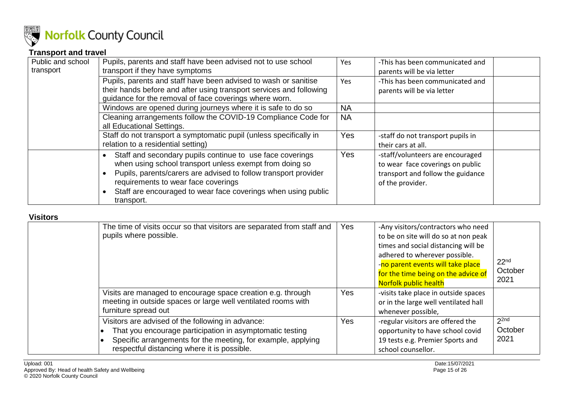

### **Transport and travel**

| Public and school | Pupils, parents and staff have been advised not to use school                                                                                                                                                                                                                                                 | Yes        | -This has been communicated and                                                                                               |
|-------------------|---------------------------------------------------------------------------------------------------------------------------------------------------------------------------------------------------------------------------------------------------------------------------------------------------------------|------------|-------------------------------------------------------------------------------------------------------------------------------|
| transport         | transport if they have symptoms                                                                                                                                                                                                                                                                               |            | parents will be via letter                                                                                                    |
|                   | Pupils, parents and staff have been advised to wash or sanitise                                                                                                                                                                                                                                               | Yes        | -This has been communicated and                                                                                               |
|                   | their hands before and after using transport services and following<br>guidance for the removal of face coverings where worn.                                                                                                                                                                                 |            | parents will be via letter                                                                                                    |
|                   | Windows are opened during journeys where it is safe to do so                                                                                                                                                                                                                                                  | <b>NA</b>  |                                                                                                                               |
|                   | Cleaning arrangements follow the COVID-19 Compliance Code for<br>all Educational Settings.                                                                                                                                                                                                                    | <b>NA</b>  |                                                                                                                               |
|                   | Staff do not transport a symptomatic pupil (unless specifically in<br>relation to a residential setting)                                                                                                                                                                                                      | <b>Yes</b> | -staff do not transport pupils in<br>their cars at all.                                                                       |
|                   | Staff and secondary pupils continue to use face coverings<br>when using school transport unless exempt from doing so<br>Pupils, parents/carers are advised to follow transport provider<br>requirements to wear face coverings<br>Staff are encouraged to wear face coverings when using public<br>transport. | <b>Yes</b> | -staff/volunteers are encouraged<br>to wear face coverings on public<br>transport and follow the guidance<br>of the provider. |

#### <span id="page-14-0"></span>**Visitors**

<span id="page-14-1"></span>

| 1191 U I U |                                                                                                                                                                                                                              |            |                                                                                                                                                                                                                                                         |                                     |
|------------|------------------------------------------------------------------------------------------------------------------------------------------------------------------------------------------------------------------------------|------------|---------------------------------------------------------------------------------------------------------------------------------------------------------------------------------------------------------------------------------------------------------|-------------------------------------|
|            | The time of visits occur so that visitors are separated from staff and<br>pupils where possible.                                                                                                                             | Yes        | -Any visitors/contractors who need<br>to be on site will do so at non peak<br>times and social distancing will be<br>adhered to wherever possible.<br>-no parent events will take place<br>for the time being on the advice of<br>Norfolk public health | 22 <sup>nd</sup><br>October<br>2021 |
|            | Visits are managed to encourage space creation e.g. through<br>meeting in outside spaces or large well ventilated rooms with<br>furniture spread out                                                                         | Yes        | -visits take place in outside spaces<br>or in the large well ventilated hall<br>whenever possible,                                                                                                                                                      |                                     |
|            | Visitors are advised of the following in advance:<br>That you encourage participation in asymptomatic testing<br>Specific arrangements for the meeting, for example, applying<br>respectful distancing where it is possible. | <b>Yes</b> | -regular visitors are offered the<br>opportunity to have school covid<br>19 tests e.g. Premier Sports and<br>school counsellor.                                                                                                                         | 2 <sup>2nd</sup><br>October<br>2021 |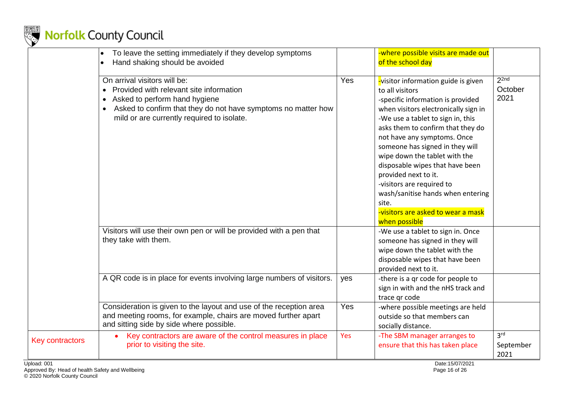

|                        | To leave the setting immediately if they develop symptoms<br>Hand shaking should be avoided                                                                                                                                                       |     | -where possible visits are made out<br>of the school day                                                                                                                                                                                                                                                                                                                                                                                                                                                     |                                      |
|------------------------|---------------------------------------------------------------------------------------------------------------------------------------------------------------------------------------------------------------------------------------------------|-----|--------------------------------------------------------------------------------------------------------------------------------------------------------------------------------------------------------------------------------------------------------------------------------------------------------------------------------------------------------------------------------------------------------------------------------------------------------------------------------------------------------------|--------------------------------------|
|                        | On arrival visitors will be:<br>Provided with relevant site information<br>Asked to perform hand hygiene<br>$\bullet$<br>Asked to confirm that they do not have symptoms no matter how<br>$\bullet$<br>mild or are currently required to isolate. | Yes | visitor information guide is given<br>to all visitors<br>-specific information is provided<br>when visitors electronically sign in<br>-We use a tablet to sign in, this<br>asks them to confirm that they do<br>not have any symptoms. Once<br>someone has signed in they will<br>wipe down the tablet with the<br>disposable wipes that have been<br>provided next to it.<br>-visitors are required to<br>wash/sanitise hands when entering<br>site.<br>-visitors are asked to wear a mask<br>when possible | 2 <sup>2nd</sup><br>October<br>2021  |
|                        | Visitors will use their own pen or will be provided with a pen that<br>they take with them.                                                                                                                                                       |     | -We use a tablet to sign in. Once<br>someone has signed in they will<br>wipe down the tablet with the<br>disposable wipes that have been<br>provided next to it.                                                                                                                                                                                                                                                                                                                                             |                                      |
|                        | A QR code is in place for events involving large numbers of visitors.                                                                                                                                                                             | yes | -there is a qr code for people to<br>sign in with and the nHS track and<br>trace qr code                                                                                                                                                                                                                                                                                                                                                                                                                     |                                      |
|                        | Consideration is given to the layout and use of the reception area<br>and meeting rooms, for example, chairs are moved further apart<br>and sitting side by side where possible.                                                                  | Yes | -where possible meetings are held<br>outside so that members can<br>socially distance.                                                                                                                                                                                                                                                                                                                                                                                                                       |                                      |
| <b>Key contractors</b> | Key contractors are aware of the control measures in place<br>$\bullet$<br>prior to visiting the site.                                                                                                                                            | Yes | -The SBM manager arranges to<br>ensure that this has taken place                                                                                                                                                                                                                                                                                                                                                                                                                                             | 3 <sup>rd</sup><br>September<br>2021 |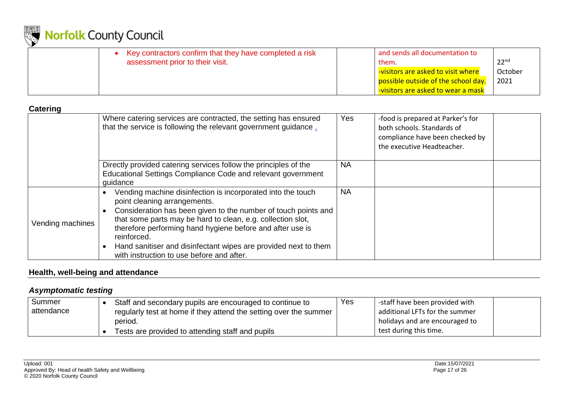

| Key contractors confirm that they have completed a risk | and sends all documentation to      |         |
|---------------------------------------------------------|-------------------------------------|---------|
| assessment prior to their visit.                        | them.                               | ววnd    |
|                                                         | -visitors are asked to visit where  | October |
|                                                         | possible outside of the school day. | 2021    |
|                                                         | visitors are asked to wear a mask   |         |

#### **Catering**

|                  | Where catering services are contracted, the setting has ensured<br>that the service is following the relevant government guidance.                                                                                                                                                                                                                                                                                       | Yes       | -food is prepared at Parker's for<br>both schools. Standards of<br>compliance have been checked by<br>the executive Headteacher. |  |
|------------------|--------------------------------------------------------------------------------------------------------------------------------------------------------------------------------------------------------------------------------------------------------------------------------------------------------------------------------------------------------------------------------------------------------------------------|-----------|----------------------------------------------------------------------------------------------------------------------------------|--|
|                  | Directly provided catering services follow the principles of the<br>Educational Settings Compliance Code and relevant government<br>quidance                                                                                                                                                                                                                                                                             | <b>NA</b> |                                                                                                                                  |  |
| Vending machines | Vending machine disinfection is incorporated into the touch<br>point cleaning arrangements.<br>Consideration has been given to the number of touch points and<br>that some parts may be hard to clean, e.g. collection slot,<br>therefore performing hand hygiene before and after use is<br>reinforced.<br>Hand sanitiser and disinfectant wipes are provided next to them<br>with instruction to use before and after. | <b>NA</b> |                                                                                                                                  |  |

### <span id="page-16-0"></span>**Health, well-being and attendance**

### *Asymptomatic testing*

<span id="page-16-2"></span><span id="page-16-1"></span>

| Summer     | Staff and secondary pupils are encouraged to continue to          | Yes | -staff have been provided with |  |
|------------|-------------------------------------------------------------------|-----|--------------------------------|--|
| attendance | regularly test at home if they attend the setting over the summer |     | additional LFTs for the summer |  |
|            | period.                                                           |     | holidays and are encouraged to |  |
|            | Tests are provided to attending staff and pupils                  |     | test during this time.         |  |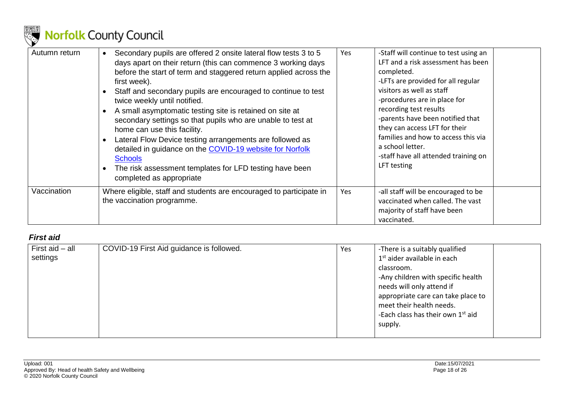

| Autumn return | Secondary pupils are offered 2 onsite lateral flow tests 3 to 5<br>$\bullet$<br>days apart on their return (this can commence 3 working days<br>before the start of term and staggered return applied across the<br>first week).<br>Staff and secondary pupils are encouraged to continue to test<br>twice weekly until notified.<br>A small asymptomatic testing site is retained on site at<br>secondary settings so that pupils who are unable to test at<br>home can use this facility.<br>Lateral Flow Device testing arrangements are followed as<br>detailed in guidance on the COVID-19 website for Norfolk<br><b>Schools</b><br>The risk assessment templates for LFD testing have been<br>completed as appropriate | Yes | -Staff will continue to test using an<br>LFT and a risk assessment has been<br>completed.<br>-LFTs are provided for all regular<br>visitors as well as staff<br>-procedures are in place for<br>recording test results<br>-parents have been notified that<br>they can access LFT for their<br>families and how to access this via<br>a school letter.<br>-staff have all attended training on<br>LFT testing |
|---------------|------------------------------------------------------------------------------------------------------------------------------------------------------------------------------------------------------------------------------------------------------------------------------------------------------------------------------------------------------------------------------------------------------------------------------------------------------------------------------------------------------------------------------------------------------------------------------------------------------------------------------------------------------------------------------------------------------------------------------|-----|---------------------------------------------------------------------------------------------------------------------------------------------------------------------------------------------------------------------------------------------------------------------------------------------------------------------------------------------------------------------------------------------------------------|
| Vaccination   | Where eligible, staff and students are encouraged to participate in<br>the vaccination programme.                                                                                                                                                                                                                                                                                                                                                                                                                                                                                                                                                                                                                            | Yes | -all staff will be encouraged to be<br>vaccinated when called. The vast<br>majority of staff have been<br>vaccinated.                                                                                                                                                                                                                                                                                         |

### *First aid*

<span id="page-17-0"></span>

| First aid - all | COVID-19 First Aid guidance is followed. | Yes                                | -There is a suitably qualified                |
|-----------------|------------------------------------------|------------------------------------|-----------------------------------------------|
| settings        |                                          |                                    | 1 <sup>st</sup> aider available in each       |
|                 |                                          |                                    | classroom.                                    |
|                 |                                          |                                    | -Any children with specific health            |
|                 |                                          |                                    | needs will only attend if                     |
|                 |                                          | appropriate care can take place to |                                               |
|                 |                                          |                                    | meet their health needs.                      |
|                 |                                          |                                    | -Each class has their own 1 <sup>st</sup> aid |
|                 |                                          |                                    | supply.                                       |
|                 |                                          |                                    |                                               |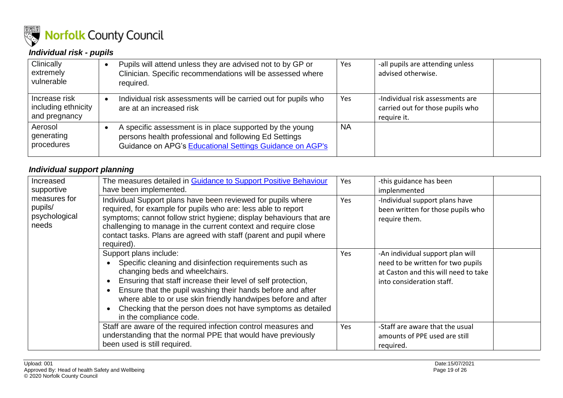

### *Individual risk - pupils*

| Clinically<br>extremely<br>vulnerable                 | Pupils will attend unless they are advised not to by GP or<br>Clinician. Specific recommendations will be assessed where<br>required.                                         | Yes       | -all pupils are attending unless<br>advised otherwise.                              |
|-------------------------------------------------------|-------------------------------------------------------------------------------------------------------------------------------------------------------------------------------|-----------|-------------------------------------------------------------------------------------|
| Increase risk<br>including ethnicity<br>and pregnancy | Individual risk assessments will be carried out for pupils who<br>are at an increased risk                                                                                    | Yes       | -Individual risk assessments are<br>carried out for those pupils who<br>require it. |
| Aerosol<br>generating<br>procedures                   | A specific assessment is in place supported by the young<br>persons health professional and following Ed Settings<br>Guidance on APG's Educational Settings Guidance on AGP's | <b>NA</b> |                                                                                     |

#### *Individual support planning*

<span id="page-18-1"></span><span id="page-18-0"></span>

| Increased<br>supportive<br>measures for<br>pupils/<br>psychological<br>needs | The measures detailed in Guidance to Support Positive Behaviour<br>have been implemented.                                                                                                                                                                                                                                                                                                                    | <b>Yes</b> | -this guidance has been<br>implenmented                                                                                                    |
|------------------------------------------------------------------------------|--------------------------------------------------------------------------------------------------------------------------------------------------------------------------------------------------------------------------------------------------------------------------------------------------------------------------------------------------------------------------------------------------------------|------------|--------------------------------------------------------------------------------------------------------------------------------------------|
|                                                                              | Individual Support plans have been reviewed for pupils where<br>required, for example for pupils who are: less able to report<br>symptoms; cannot follow strict hygiene; display behaviours that are<br>challenging to manage in the current context and require close<br>contact tasks. Plans are agreed with staff (parent and pupil where<br>required).                                                   | Yes        | -Individual support plans have<br>been written for those pupils who<br>require them.                                                       |
|                                                                              | Support plans include:<br>Specific cleaning and disinfection requirements such as<br>changing beds and wheelchairs.<br>Ensuring that staff increase their level of self protection,<br>Ensure that the pupil washing their hands before and after<br>where able to or use skin friendly handwipes before and after<br>Checking that the person does not have symptoms as detailed<br>in the compliance code. | Yes        | -An individual support plan will<br>need to be written for two pupils<br>at Caston and this will need to take<br>into consideration staff. |
|                                                                              | Staff are aware of the required infection control measures and<br>understanding that the normal PPE that would have previously<br>been used is still required.                                                                                                                                                                                                                                               | Yes        | -Staff are aware that the usual<br>amounts of PPE used are still<br>required.                                                              |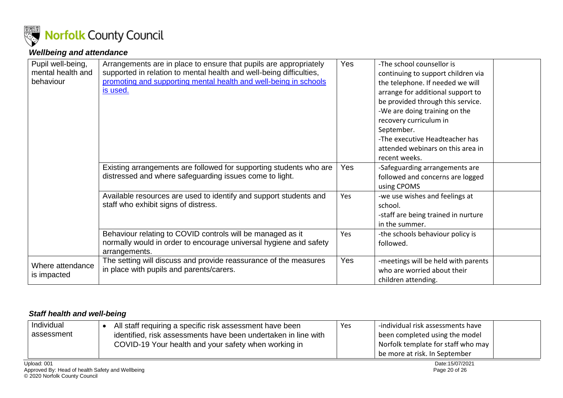

### *Wellbeing and attendance*

| Pupil well-being,<br>mental health and<br>behaviour | Arrangements are in place to ensure that pupils are appropriately<br>supported in relation to mental health and well-being difficulties,<br>promoting and supporting mental health and well-being in schools<br>is used. | Yes        | -The school counsellor is<br>continuing to support children via<br>the telephone. If needed we will<br>arrange for additional support to<br>be provided through this service.<br>-We are doing training on the<br>recovery curriculum in<br>September.<br>-The executive Headteacher has<br>attended webinars on this area in<br>recent weeks. |
|-----------------------------------------------------|--------------------------------------------------------------------------------------------------------------------------------------------------------------------------------------------------------------------------|------------|------------------------------------------------------------------------------------------------------------------------------------------------------------------------------------------------------------------------------------------------------------------------------------------------------------------------------------------------|
|                                                     | Existing arrangements are followed for supporting students who are<br>distressed and where safeguarding issues come to light.                                                                                            | Yes        | -Safeguarding arrangements are<br>followed and concerns are logged<br>using CPOMS                                                                                                                                                                                                                                                              |
|                                                     | Available resources are used to identify and support students and<br>staff who exhibit signs of distress.                                                                                                                | <b>Yes</b> | -we use wishes and feelings at<br>school.<br>-staff are being trained in nurture<br>in the summer.                                                                                                                                                                                                                                             |
|                                                     | Behaviour relating to COVID controls will be managed as it<br>normally would in order to encourage universal hygiene and safety<br>arrangements.                                                                         | Yes        | -the schools behaviour policy is<br>followed.                                                                                                                                                                                                                                                                                                  |
| Where attendance<br>is impacted                     | The setting will discuss and provide reassurance of the measures<br>in place with pupils and parents/carers.                                                                                                             | Yes        | -meetings will be held with parents<br>who are worried about their<br>children attending.                                                                                                                                                                                                                                                      |

#### <span id="page-19-0"></span>*Staff health and well-being*

<span id="page-19-1"></span>

| Individual<br>assessment | All staff requiring a specific risk assessment have been<br>identified, risk assessments have been undertaken in line with<br>COVID-19 Your health and your safety when working in | <b>Yes</b> | -individual risk assessments have<br>been completed using the model<br>Norfolk template for staff who may<br>be more at risk. In September |  |
|--------------------------|------------------------------------------------------------------------------------------------------------------------------------------------------------------------------------|------------|--------------------------------------------------------------------------------------------------------------------------------------------|--|
| Upload: 001              |                                                                                                                                                                                    |            | Date:15/07/2021                                                                                                                            |  |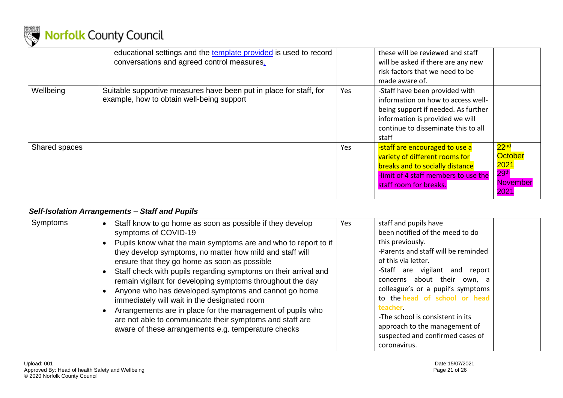

|               | educational settings and the template provided is used to record<br>conversations and agreed control measures.  |     | these will be reviewed and staff<br>will be asked if there are any new<br>risk factors that we need to be<br>made aware of.                                                                    |                                                                                                        |
|---------------|-----------------------------------------------------------------------------------------------------------------|-----|------------------------------------------------------------------------------------------------------------------------------------------------------------------------------------------------|--------------------------------------------------------------------------------------------------------|
| Wellbeing     | Suitable supportive measures have been put in place for staff, for<br>example, how to obtain well-being support | Yes | -Staff have been provided with<br>information on how to access well-<br>being support if needed. As further<br>information is provided we will<br>continue to disseminate this to all<br>staff |                                                                                                        |
| Shared spaces |                                                                                                                 | Yes | -staff are encouraged to use a<br>variety of different rooms for<br>breaks and to socially distance<br>-limit of 4 staff members to use the<br>staff room for breaks.                          | 22 <sup>nd</sup><br><b>October</b><br><mark>2021</mark><br>29 <sup>th</sup><br><b>November</b><br>2021 |

### *Self-Isolation Arrangements – Staff and Pupils*

<span id="page-20-0"></span>

| Symptoms | Staff know to go home as soon as possible if they develop<br>$\bullet$<br>symptoms of COVID-19<br>Pupils know what the main symptoms are and who to report to if<br>they develop symptoms, no matter how mild and staff will<br>ensure that they go home as soon as possible<br>Staff check with pupils regarding symptoms on their arrival and<br>remain vigilant for developing symptoms throughout the day<br>Anyone who has developed symptoms and cannot go home<br>immediately will wait in the designated room<br>Arrangements are in place for the management of pupils who<br>are not able to communicate their symptoms and staff are<br>aware of these arrangements e.g. temperature checks | Yes | staff and pupils have<br>been notified of the meed to do<br>this previously.<br>-Parents and staff will be reminded<br>of this via letter.<br>-Staff are vigilant and report<br>concerns about their own, a<br>colleague's or a pupil's symptoms<br>to the head of school or head<br>teacher<br>-The school is consistent in its<br>approach to the management of<br>suspected and confirmed cases of<br>coronavirus. |
|----------|--------------------------------------------------------------------------------------------------------------------------------------------------------------------------------------------------------------------------------------------------------------------------------------------------------------------------------------------------------------------------------------------------------------------------------------------------------------------------------------------------------------------------------------------------------------------------------------------------------------------------------------------------------------------------------------------------------|-----|-----------------------------------------------------------------------------------------------------------------------------------------------------------------------------------------------------------------------------------------------------------------------------------------------------------------------------------------------------------------------------------------------------------------------|
|----------|--------------------------------------------------------------------------------------------------------------------------------------------------------------------------------------------------------------------------------------------------------------------------------------------------------------------------------------------------------------------------------------------------------------------------------------------------------------------------------------------------------------------------------------------------------------------------------------------------------------------------------------------------------------------------------------------------------|-----|-----------------------------------------------------------------------------------------------------------------------------------------------------------------------------------------------------------------------------------------------------------------------------------------------------------------------------------------------------------------------------------------------------------------------|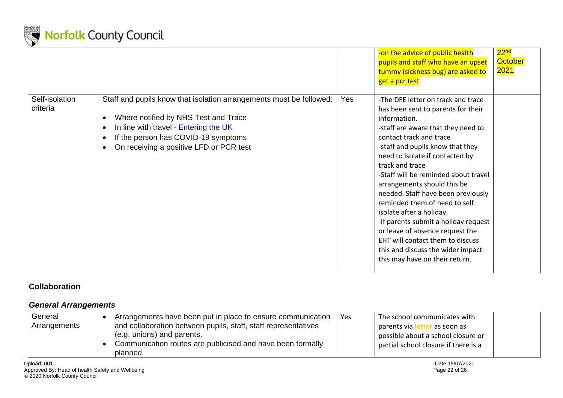

|                            |                                                                                                                                                                                                                                        |            | -on the advice of public health<br>pupils and staff who have an upset<br>tummy (sickness bug) are asked to<br>get a pcr test                                                                                                                                                                                                                                                                                                                                                                                                                                                                                        | 22 <sup>nd</sup><br><b>October</b><br><b>2021</b> |
|----------------------------|----------------------------------------------------------------------------------------------------------------------------------------------------------------------------------------------------------------------------------------|------------|---------------------------------------------------------------------------------------------------------------------------------------------------------------------------------------------------------------------------------------------------------------------------------------------------------------------------------------------------------------------------------------------------------------------------------------------------------------------------------------------------------------------------------------------------------------------------------------------------------------------|---------------------------------------------------|
| Self-isolation<br>criteria | Staff and pupils know that isolation arrangements must be followed:<br>Where notified by NHS Test and Trace<br>In line with travel - Entering the UK<br>If the person has COVID-19 symptoms<br>On receiving a positive LFD or PCR test | <b>Yes</b> | -The DFE letter on track and trace<br>has been sent to parents for their<br>information.<br>-staff are aware that they need to<br>contact track and trace<br>-staff and pupils know that they<br>need to isolate if contacted by<br>track and trace<br>-Staff will be reminded about travel<br>arrangements should this be<br>needed. Staff have been previously<br>reminded them of need to self<br>isolate after a holiday.<br>-If parents submit a holiday request<br>or leave of absence request the<br>EHT will contact them to discuss<br>this and discuss the wider impact<br>this may have on their return. |                                                   |

#### **Collaboration**

### *General Arrangements*

<span id="page-21-1"></span><span id="page-21-0"></span>

| General<br>Arrangements | Arrangements have been put in place to ensure communication<br>and collaboration between pupils, staff, staff representatives<br>(e.g. unions) and parents.<br>Communication routes are publicised and have been formally<br>planned. | Yes | The school communicates with<br>parents via le<br>r as soon as<br>possible about a school closure or<br>partial school closure if there is a |  |
|-------------------------|---------------------------------------------------------------------------------------------------------------------------------------------------------------------------------------------------------------------------------------|-----|----------------------------------------------------------------------------------------------------------------------------------------------|--|
|-------------------------|---------------------------------------------------------------------------------------------------------------------------------------------------------------------------------------------------------------------------------------|-----|----------------------------------------------------------------------------------------------------------------------------------------------|--|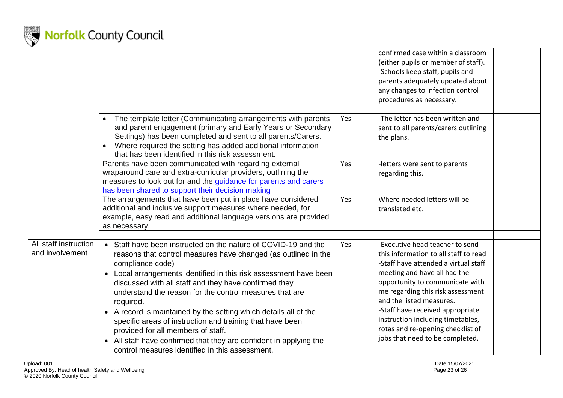

|                                          |                                                                                                                                                                                                                                                                                                                                                                                                                                                                                                                                                                                                                                                            |     | confirmed case within a classroom<br>(either pupils or member of staff).<br>-Schools keep staff, pupils and<br>parents adequately updated about<br>any changes to infection control<br>procedures as necessary.                                                                                                                                                                                       |  |
|------------------------------------------|------------------------------------------------------------------------------------------------------------------------------------------------------------------------------------------------------------------------------------------------------------------------------------------------------------------------------------------------------------------------------------------------------------------------------------------------------------------------------------------------------------------------------------------------------------------------------------------------------------------------------------------------------------|-----|-------------------------------------------------------------------------------------------------------------------------------------------------------------------------------------------------------------------------------------------------------------------------------------------------------------------------------------------------------------------------------------------------------|--|
|                                          | The template letter (Communicating arrangements with parents<br>$\bullet$<br>and parent engagement (primary and Early Years or Secondary<br>Settings) has been completed and sent to all parents/Carers.<br>Where required the setting has added additional information<br>that has been identified in this risk assessment.                                                                                                                                                                                                                                                                                                                               | Yes | -The letter has been written and<br>sent to all parents/carers outlining<br>the plans.                                                                                                                                                                                                                                                                                                                |  |
|                                          | Parents have been communicated with regarding external<br>wraparound care and extra-curricular providers, outlining the<br>measures to look out for and the guidance for parents and carers<br>has been shared to support their decision making                                                                                                                                                                                                                                                                                                                                                                                                            | Yes | -letters were sent to parents<br>regarding this.                                                                                                                                                                                                                                                                                                                                                      |  |
|                                          | The arrangements that have been put in place have considered<br>additional and inclusive support measures where needed, for<br>example, easy read and additional language versions are provided<br>as necessary.                                                                                                                                                                                                                                                                                                                                                                                                                                           | Yes | Where needed letters will be<br>translated etc.                                                                                                                                                                                                                                                                                                                                                       |  |
| All staff instruction<br>and involvement | • Staff have been instructed on the nature of COVID-19 and the<br>reasons that control measures have changed (as outlined in the<br>compliance code)<br>• Local arrangements identified in this risk assessment have been<br>discussed with all staff and they have confirmed they<br>understand the reason for the control measures that are<br>required.<br>• A record is maintained by the setting which details all of the<br>specific areas of instruction and training that have been<br>provided for all members of staff.<br>• All staff have confirmed that they are confident in applying the<br>control measures identified in this assessment. | Yes | -Executive head teacher to send<br>this information to all staff to read<br>-Staff have attended a virtual staff<br>meeting and have all had the<br>opportunity to communicate with<br>me regarding this risk assessment<br>and the listed measures.<br>-Staff have received appropriate<br>instruction including timetables,<br>rotas and re-opening checklist of<br>jobs that need to be completed. |  |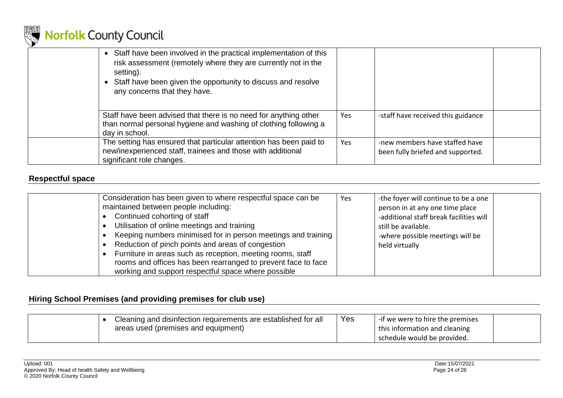

| • Staff have been involved in the practical implementation of this<br>risk assessment (remotely where they are currently not in the<br>setting).<br>• Staff have been given the opportunity to discuss and resolve<br>any concerns that they have. |     |                                                                     |  |
|----------------------------------------------------------------------------------------------------------------------------------------------------------------------------------------------------------------------------------------------------|-----|---------------------------------------------------------------------|--|
| Staff have been advised that there is no need for anything other<br>than normal personal hygiene and washing of clothing following a<br>day in school.                                                                                             | Yes | -staff have received this guidance                                  |  |
| The setting has ensured that particular attention has been paid to<br>new/inexperienced staff, trainees and those with additional<br>significant role changes.                                                                                     | Yes | -new members have staffed have<br>been fully briefed and supported. |  |

#### **Respectful space**

| Consideration has been given to where respectful space can be<br>maintained between people including:<br>Continued cohorting of staff<br>Utilisation of online meetings and training<br>Keeping numbers minimised for in person meetings and training  <br>Reduction of pinch points and areas of congestion<br>Furniture in areas such as reception, meeting rooms, staff<br>rooms and offices has been rearranged to prevent face to face<br>working and support respectful space where possible | <b>Yes</b> | -the foyer will continue to be a one<br>person in at any one time place<br>-additional staff break facilities will<br>still be available.<br>-where possible meetings will be<br>held virtually |  |
|----------------------------------------------------------------------------------------------------------------------------------------------------------------------------------------------------------------------------------------------------------------------------------------------------------------------------------------------------------------------------------------------------------------------------------------------------------------------------------------------------|------------|-------------------------------------------------------------------------------------------------------------------------------------------------------------------------------------------------|--|
|----------------------------------------------------------------------------------------------------------------------------------------------------------------------------------------------------------------------------------------------------------------------------------------------------------------------------------------------------------------------------------------------------------------------------------------------------------------------------------------------------|------------|-------------------------------------------------------------------------------------------------------------------------------------------------------------------------------------------------|--|

#### **Hiring School Premises (and providing premises for club use)**

<span id="page-23-1"></span><span id="page-23-0"></span>

|  | Cleaning and disinfection requirements are established for all | Yes | -if we were to hire the premises |  |
|--|----------------------------------------------------------------|-----|----------------------------------|--|
|  | areas used (premises and equipment)                            |     | this information and cleaning    |  |
|  |                                                                |     | schedule would be provided.      |  |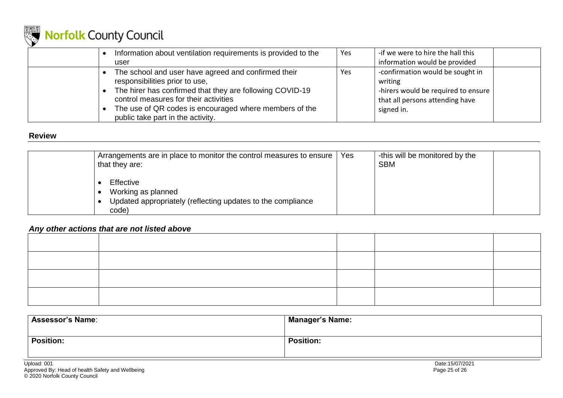

|  | Information about ventilation requirements is provided to the                                                                                                                                                                                                                             | Yes | -if we were to hire the hall this                                                                                                   |
|--|-------------------------------------------------------------------------------------------------------------------------------------------------------------------------------------------------------------------------------------------------------------------------------------------|-----|-------------------------------------------------------------------------------------------------------------------------------------|
|  | user                                                                                                                                                                                                                                                                                      |     | information would be provided                                                                                                       |
|  | The school and user have agreed and confirmed their<br>responsibilities prior to use,<br>The hirer has confirmed that they are following COVID-19<br>control measures for their activities<br>The use of QR codes is encouraged where members of the<br>public take part in the activity. | Yes | -confirmation would be sought in<br>writing<br>-hirers would be required to ensure<br>that all persons attending have<br>signed in. |
|  |                                                                                                                                                                                                                                                                                           |     |                                                                                                                                     |

#### **Review**

| that they are:                           | Arrangements are in place to monitor the control measures to ensure | Yes | -this will be monitored by the<br><b>SBM</b> |  |
|------------------------------------------|---------------------------------------------------------------------|-----|----------------------------------------------|--|
| Effective<br>Working as planned<br>code) | Updated appropriately (reflecting updates to the compliance         |     |                                              |  |

#### *Any other actions that are not listed above*

<span id="page-24-0"></span>

| <b>Assessor's Name:</b> | <b>Manager's Name:</b> |
|-------------------------|------------------------|
| <b>Position:</b>        | <b>Position:</b>       |